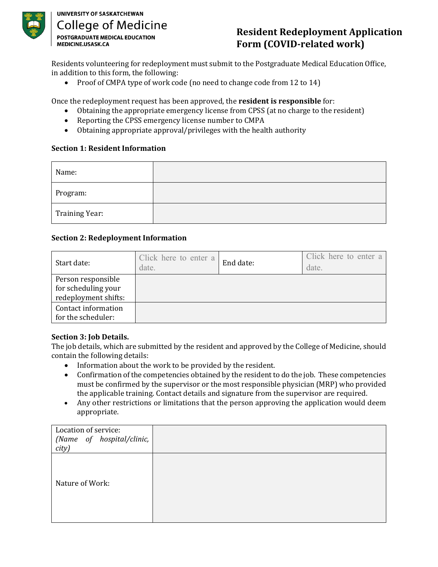

## **UNIVERSITY OF SASKATCHEWAN College of Medicine POSTGRADUATE MEDICAL EDUCATION** MEDICINE.USASK.CA

# **Resident Redeployment Application Form (COVID-related work)**

Residents volunteering for redeployment must submit to the Postgraduate Medical Education Office, in addition to this form, the following:

• Proof of CMPA type of work code (no need to change code from 12 to 14)

Once the redeployment request has been approved, the **resident is responsible** for:<br>
• Obtaining the appropriate emergency license from CPSS (at no charge to the r

- Obtaining the appropriate emergency license from CPSS (at no charge to the resident)
- Reporting the CPSS emergency license number to CMPA
- Obtaining appropriate approval/privileges with the health authority

#### **Section 1: Resident Information**

| Name:          |  |
|----------------|--|
| Program:       |  |
| Training Year: |  |

### **Section 2: Redeployment Information**

| Start date:                                                       | Click here to enter a<br>date. | End date: | Click here to enter a<br>date. |
|-------------------------------------------------------------------|--------------------------------|-----------|--------------------------------|
| Person responsible<br>for scheduling your<br>redeployment shifts: |                                |           |                                |
| Contact information<br>for the scheduler:                         |                                |           |                                |

### **Section 3: Job Details.**

The job details, which are submitted by the resident and approved by the College of Medicine, should contain the following details:

- Information about the work to be provided by the resident.
- Confirmation of the competencies obtained by the resident to do the job. These competencies must be confirmed by the supervisor or the most responsible physician (MRP) who provided the applicable training. Contact details and signature from the supervisor are required.
- Any other restrictions or limitations that the person approving the application would deem appropriate.

| Location of service:<br>(Name of hospital/clinic,<br>city) |  |
|------------------------------------------------------------|--|
| Nature of Work:                                            |  |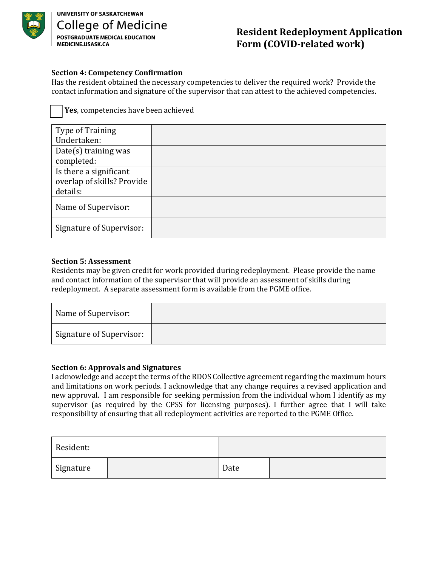

## **Resident Redeployment Application Form (COVID-related work)**

#### **Section 4: Competency Confirmation**

Has the resident obtained the necessary competencies to deliver the required work? Provide the contact information and signature of the supervisor that can attest to the achieved competencies.

Yes, competencies have been achieved

| Type of Training<br>Undertaken:                                  |  |
|------------------------------------------------------------------|--|
| Date(s) training was<br>completed:                               |  |
| Is there a significant<br>overlap of skills? Provide<br>details: |  |
| Name of Supervisor:                                              |  |
| Signature of Supervisor:                                         |  |

#### **Section 5: Assessment**

Residents may be given credit for work provided during redeployment. Please provide the name and contact information of the supervisor that will provide an assessment of skills during redeployment. A separate assessment form is available from the PGME office.

| Name of Supervisor:      |  |
|--------------------------|--|
| Signature of Supervisor: |  |

#### **Section 6: Approvals and Signatures**

I acknowledge and accept the terms of the RDOS Collective agreement regarding the maximum hours and limitations on work periods. I acknowledge that any change requires a revised application and new approval. I am responsible for seeking permission from the individual whom I identify as my supervisor (as required by the CPSS for licensing purposes). I further agree that I will take responsibility of ensuring that all redeployment activities are reported to the PGME Office.

| Resident: |  |      |  |
|-----------|--|------|--|
| Signature |  | Date |  |